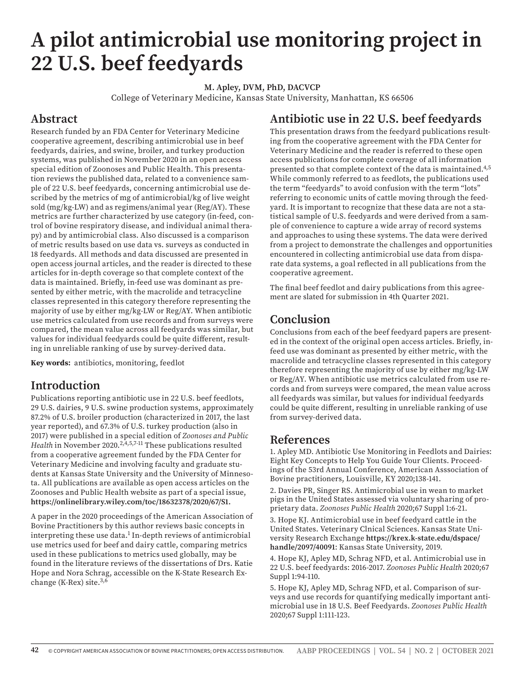# **A pilot antimicrobial use monitoring project in 22 U.S. beef feedyards**

**M. Apley, DVM, PhD, DACVCP**

College of Veterinary Medicine, Kansas State University, Manhattan, KS 66506

## **Abstract**

Research funded by an FDA Center for Veterinary Medicine cooperative agreement, describing antimicrobial use in beef feedyards, dairies, and swine, broiler, and turkey production systems, was published in November 2020 in an open access special edition of Zoonoses and Public Health. This presentation reviews the published data, related to a convenience sample of 22 U.S. beef feedyards, concerning antimicrobial use described by the metrics of mg of antimicrobial/kg of live weight sold (mg/kg-LW) and as regimens/animal year (Reg/AY). These metrics are further characterized by use category (in-feed, control of bovine respiratory disease, and individual animal therapy) and by antimicrobial class. Also discussed is a comparison of metric results based on use data vs. surveys as conducted in 18 feedyards. All methods and data discussed are presented in open access journal articles, and the reader is directed to these articles for in-depth coverage so that complete context of the data is maintained. Briefly, in-feed use was dominant as presented by either metric, with the macrolide and tetracycline classes represented in this category therefore representing the majority of use by either mg/kg-LW or Reg/AY. When antibiotic use metrics calculated from use records and from surveys were compared, the mean value across all feedyards was similar, but values for individual feedyards could be quite different, resulting in unreliable ranking of use by survey-derived data.

**Key words:** antibiotics, monitoring, feedlot

### **Introduction**

Publications reporting antibiotic use in 22 U.S. beef feedlots, 29 U.S. dairies, 9 U.S. swine production systems, approximately 87.2% of U.S. broiler production (characterized in 2017, the last year reported), and 67.3% of U.S. turkey production (also in 2017) were published in a special edition of *Zoonoses and Public Health* in November 2020.<sup>2,4,5,7-11</sup> These publications resulted from a cooperative agreement funded by the FDA Center for Veterinary Medicine and involving faculty and graduate students at Kansas State University and the University of Minnesota. All publications are available as open access articles on the Zoonoses and Public Health website as part of a special issue, **https://onlinelibrary.wiley.com/toc/18632378/2020/67/S1.**

A paper in the 2020 proceedings of the American Association of Bovine Practitioners by this author reviews basic concepts in interpreting these use data.<sup>1</sup> In-depth reviews of antimicrobial use metrics used for beef and dairy cattle, comparing metrics used in these publications to metrics used globally, may be found in the literature reviews of the dissertations of Drs. Katie Hope and Nora Schrag, accessible on the K-State Research Exchange (K-Rex) site. $3,6$ 

### **Antibiotic use in 22 U.S. beef feedyards**

This presentation draws from the feedyard publications resulting from the cooperative agreement with the FDA Center for Veterinary Medicine and the reader is referred to these open access publications for complete coverage of all information presented so that complete context of the data is maintained.4,5 While commonly referred to as feedlots, the publications used the term "feedyards" to avoid confusion with the term "lots" referring to economic units of cattle moving through the feedyard. It is important to recognize that these data are not a statistical sample of U.S. feedyards and were derived from a sample of convenience to capture a wide array of record systems and approaches to using these systems. The data were derived from a project to demonstrate the challenges and opportunities encountered in collecting antimicrobial use data from disparate data systems, a goal reflected in all publications from the cooperative agreement.

The final beef feedlot and dairy publications from this agreement are slated for submission in 4th Quarter 2021.

# **Conclusion**

Conclusions from each of the beef feedyard papers are presented in the context of the original open access articles. Briefly, infeed use was dominant as presented by either metric, with the macrolide and tetracycline classes represented in this category therefore representing the majority of use by either mg/kg-LW or Reg/AY. When antibiotic use metrics calculated from use records and from surveys were compared, the mean value across all feedyards was similar, but values for individual feedyards could be quite different, resulting in unreliable ranking of use from survey-derived data.

#### **References**

1. Apley MD. Antibiotic Use Monitoring in Feedlots and Dairies: Eight Key Concepts to Help You Guide Your Clients. Proceedings of the 53rd Annual Conference, American Asssociation of Bovine practitioners, Louisville, KY 2020;138-141.

2. Davies PR, Singer RS. Antimicrobial use in wean to market pigs in the United States assessed via voluntary sharing of proprietary data. *Zoonoses Public Health* 2020;67 Suppl 1:6-21.

3. Hope KJ. Antimicrobial use in beef feedyard cattle in the United States. Veterinary Clnical Sciences. Kansas State University Research Exchange **https://krex.k-state.edu/dspace/ handle/2097/40091**: Kansas State University, 2019.

4. Hope KJ, Apley MD, Schrag NFD, et al. Antimicrobial use in 22 U.S. beef feedyards: 2016-2017. *Zoonoses Public Health* 2020;67 Suppl 1:94-110.

5. Hope KJ, Apley MD, Schrag NFD, et al. Comparison of surveys and use records for quantifying medically important antimicrobial use in 18 U.S. Beef Feedyards. *Zoonoses Public Health* 2020;67 Suppl 1:111-123.